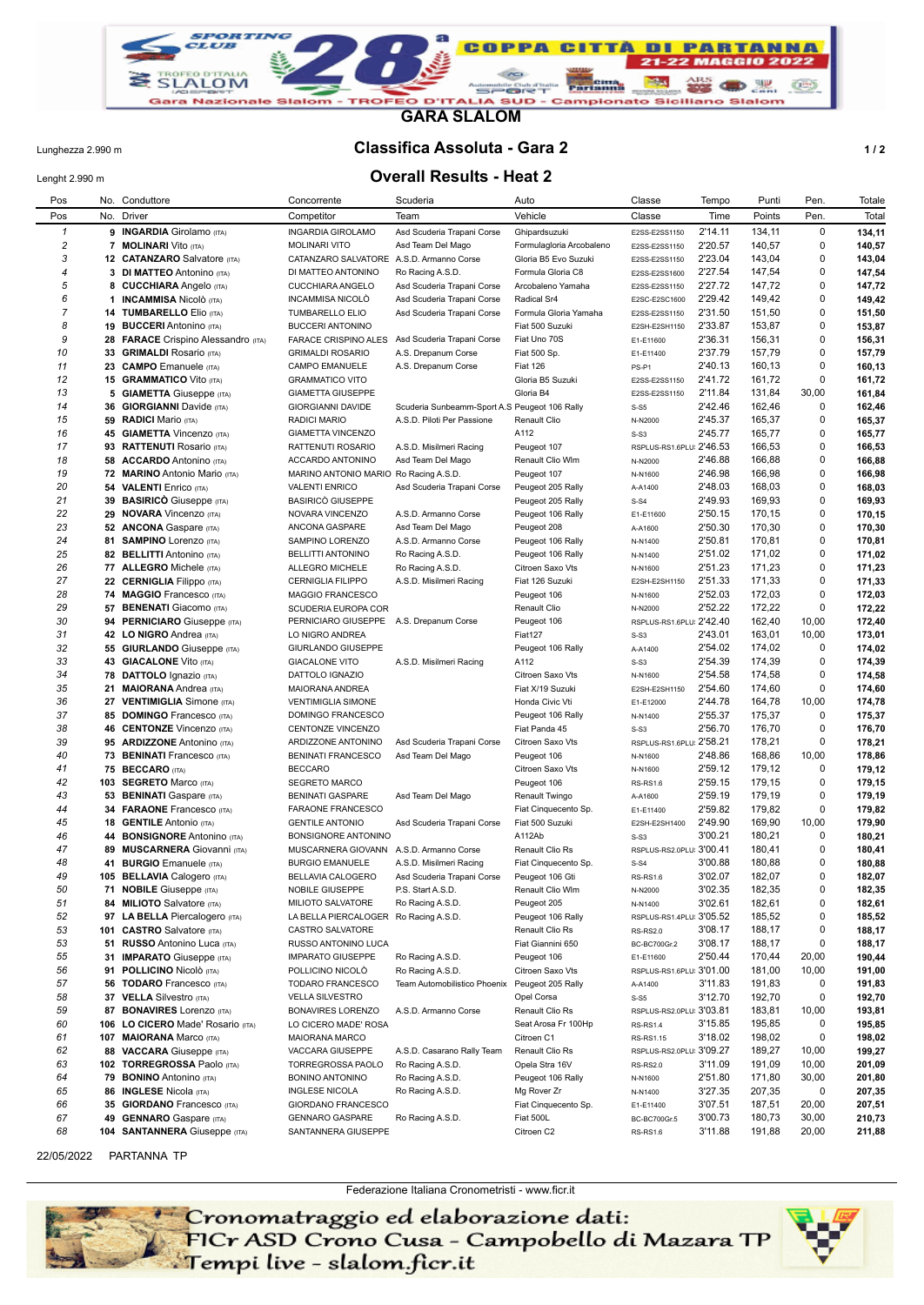

**GARA SLALOM**

## Lunghezza 2.990 m **Classifica Assoluta - Gara 2 1 / 2**

## Lenght 2.990 m **Overall Results - Heat 2**

| Pos            |     | No. Conduttore                                             | Concorrente                                   | Scuderia                                      | Auto                                 | Classe                               | Tempo              | Punti            | Pen.           | Totale           |
|----------------|-----|------------------------------------------------------------|-----------------------------------------------|-----------------------------------------------|--------------------------------------|--------------------------------------|--------------------|------------------|----------------|------------------|
| Pos            | No. | Driver                                                     | Competitor                                    | Team                                          | Vehicle                              | Classe                               | Time               | Points           | Pen.           | Total            |
| $\mathbf{1}$   |     | 9 INGARDIA Girolamo (ITA)                                  | <b>INGARDIA GIROLAMO</b>                      | Asd Scuderia Trapani Corse                    | Ghipardsuzuki                        | E2SS-E2SS1150                        | 2'14.11            | 134,11           | $\mathbf 0$    | 134,11           |
| 2              |     | <b>7 MOLINARI</b> Vito (ITA)                               | <b>MOLINARI VITO</b>                          | Asd Team Del Mago                             | Formulagloria Arcobaleno             | E2SS-E2SS1150                        | 2'20.57            | 140,57           | 0              | 140,57           |
| 3              |     | 12 CATANZARO Salvatore (ITA)                               | CATANZARO SALVATORE                           | A.S.D. Armanno Corse                          | Gloria B5 Evo Suzuki                 | E2SS-E2SS1150                        | 2'23.04            | 143,04           | 0              | 143,04           |
| 4              |     | 3 DI MATTEO Antonino (ITA)                                 | DI MATTEO ANTONINO                            | Ro Racing A.S.D.                              | Formula Gloria C8                    | E2SS-E2SS1600                        | 2'27.54            | 147,54           | 0              | 147,54           |
| 5              | 8   | <b>CUCCHIARA Angelo (ITA)</b>                              | <b>CUCCHIARA ANGELO</b>                       | Asd Scuderia Trapani Corse                    | Arcobaleno Yamaha                    | E2SS-E2SS1150                        | 2'27.72            | 147,72           | 0              | 147,72           |
| 6              |     | 1 <b>INCAMMISA</b> Nicolò (ITA)                            | <b>INCAMMISA NICOLO</b>                       | Asd Scuderia Trapani Corse                    | Radical Sr4                          | E2SC-E2SC1600                        | 2'29.42            | 149,42           | 0              | 149,42           |
| $\overline{7}$ |     | 14 TUMBARELLO Elio (ITA)                                   | TUMBARELLO ELIO                               | Asd Scuderia Trapani Corse                    | Formula Gloria Yamaha                | E2SS-E2SS1150                        | 2'31.50            | 151,50           | 0              | 151,50           |
| 8              |     | 19 BUCCERI Antonino (ITA)                                  | <b>BUCCERI ANTONINO</b>                       |                                               | Fiat 500 Suzuki                      | E2SH-E2SH1150                        | 2'33.87            | 153,87           | 0              | 153,87           |
| 9              |     | 28 FARACE Crispino Alessandro (ITA)                        | <b>FARACE CRISPINO ALES</b>                   | Asd Scuderia Trapani Corse                    | Fiat Uno 70S                         | E1-E11600                            | 2'36.31            | 156,31           | 0              | 156,31           |
| 10             |     | 33 GRIMALDI Rosario (ITA)                                  | <b>GRIMALDI ROSARIO</b>                       | A.S. Drepanum Corse                           | Fiat 500 Sp.                         | E1-E11400                            | 2'37.79            | 157,79           | 0              | 157,79           |
| 11             |     | 23 CAMPO Emanuele (ITA)                                    | CAMPO EMANUELE                                | A.S. Drepanum Corse                           | <b>Fiat 126</b>                      | PS-P1                                | 2'40.13            | 160,13           | 0              | 160,13           |
| 12             |     | <b>15 GRAMMATICO Vito (ITA)</b>                            | <b>GRAMMATICO VITO</b>                        |                                               | Gloria B5 Suzuki                     | E2SS-E2SS1150                        | 2'41.72            | 161,72           | 0              | 161,72           |
| 13             |     | <b>5 GIAMETTA Giuseppe (ITA)</b>                           | <b>GIAMETTA GIUSEPPE</b>                      |                                               | Gloria B4                            | E2SS-E2SS1150                        | 2'11.84            | 131,84           | 30,00          | 161,84           |
| 14             | 36  | <b>GIORGIANNI Davide (ITA)</b>                             | GIORGIANNI DAVIDE                             | Scuderia Sunbeamm-Sport A.S Peugeot 106 Rally |                                      | $S-S5$                               | 2'42.46            | 162,46           | 0              | 162,46           |
| 15<br>16       |     | 59 RADICI Mario (ITA)                                      | RADICI MARIO                                  | A.S.D. Piloti Per Passione                    | Renault Clio<br>A112                 | N-N2000                              | 2'45.37<br>2'45.77 | 165,37<br>165,77 | 0<br>0         | 165,37           |
| 17             |     | 45 GIAMETTA Vincenzo (ITA)<br>93 RATTENUTI Rosario (ITA)   | <b>GIAMETTA VINCENZO</b><br>RATTENUTI ROSARIO | A.S.D. Misilmeri Racing                       | Peugeot 107                          | $S-S3$<br>RSPLUS-RS1.6PLU 2'46.53    |                    | 166,53           | 0              | 165,77<br>166,53 |
| 18             |     | 58 ACCARDO Antonino (ITA)                                  | ACCARDO ANTONINO                              | Asd Team Del Mago                             | Renault Clio Wlm                     | N-N2000                              | 2'46.88            | 166,88           | 0              | 166,88           |
| 19             |     | 72 MARINO Antonio Mario (ITA)                              | MARINO ANTONIO MARIO Ro Racing A.S.D.         |                                               | Peugeot 107                          | N-N1600                              | 2'46.98            | 166,98           | 0              | 166,98           |
| 20             |     | 54 VALENTI Enrico (ITA)                                    | <b>VALENTI ENRICO</b>                         | Asd Scuderia Trapani Corse                    | Peugeot 205 Rally                    | A-A1400                              | 2'48.03            | 168,03           | 0              | 168,03           |
| 21             |     | 39 BASIRICO Giuseppe (ITA)                                 | <b>BASIRICO GIUSEPPE</b>                      |                                               | Peugeot 205 Rally                    | $S-S4$                               | 2'49.93            | 169,93           | 0              | 169,93           |
| 22             |     | 29 NOVARA Vincenzo (ITA)                                   | NOVARA VINCENZO                               | A.S.D. Armanno Corse                          | Peugeot 106 Rally                    | E1-E11600                            | 2'50.15            | 170,15           | 0              | 170,15           |
| 23             |     | 52 ANCONA Gaspare (ITA)                                    | ANCONA GASPARE                                | Asd Team Del Mago                             | Peugeot 208                          | A-A1600                              | 2'50.30            | 170,30           | 0              | 170,30           |
| 24             |     | 81 SAMPINO Lorenzo (ITA)                                   | SAMPINO LORENZO                               | A.S.D. Armanno Corse                          | Peugeot 106 Rally                    | N-N1400                              | 2'50.81            | 170,81           | 0              | 170,81           |
| 25             |     | 82 BELLITTI Antonino (ITA)                                 | <b>BELLITTI ANTONINO</b>                      | Ro Racing A.S.D.                              | Peugeot 106 Rally                    | N-N1400                              | 2'51.02            | 171,02           | 0              | 171,02           |
| 26             |     | 77 ALLEGRO Michele (ITA)                                   | ALLEGRO MICHELE                               | Ro Racing A.S.D.                              | Citroen Saxo Vts                     | N-N1600                              | 2'51.23            | 171,23           | 0              | 171,23           |
| 27             |     | 22 CERNIGLIA Filippo (ITA)                                 | <b>CERNIGLIA FILIPPO</b>                      | A.S.D. Misilmeri Racing                       | Fiat 126 Suzuki                      | E2SH-E2SH1150                        | 2'51.33            | 171,33           | 0              | 171,33           |
| 28             |     | 74 MAGGIO Francesco (ITA)                                  | MAGGIO FRANCESCO                              |                                               | Peugeot 106                          | N-N1600                              | 2'52.03            | 172,03           | 0              | 172,03           |
| 29             |     | 57 BENENATI Giacomo (ITA)                                  | SCUDERIA EUROPA COR                           |                                               | Renault Clio                         | N-N2000                              | 2'52.22            | 172,22           | 0              | 172,22           |
| 30             |     | 94 PERNICIARO Giuseppe (ITA)                               | PERNICIARO GIUSEPPE A.S. Drepanum Corse       |                                               | Peugeot 106                          | RSPLUS-RS1.6PLU 2'42.40              |                    | 162,40           | 10,00          | 172,40           |
| 31             |     | 42 LO NIGRO Andrea (ITA)                                   | LO NIGRO ANDREA                               |                                               | Fiat127                              | $S-S3$                               | 2'43.01            | 163,01           | 10,00          | 173,01           |
| 32             |     | <b>55 GIURLANDO</b> Giuseppe (ITA)                         | GIURLANDO GIUSEPPE                            |                                               | Peugeot 106 Rally                    | A-A1400                              | 2'54.02            | 174,02           | 0              | 174,02           |
| 33             |     | 43 GIACALONE Vito (ITA)                                    | <b>GIACALONE VITO</b>                         | A.S.D. Misilmeri Racing                       | A112                                 | $S-S3$                               | 2'54.39            | 174,39           | 0              | 174,39           |
| 34             |     | 78 DATTOLO Ignazio (ITA)                                   | DATTOLO IGNAZIO                               |                                               | Citroen Saxo Vts                     | N-N1600                              | 2'54.58            | 174,58           | 0              | 174,58           |
| 35             |     | 21 MAIORANA Andrea (ITA)                                   | MAIORANA ANDREA                               |                                               | Fiat X/19 Suzuki                     | E2SH-E2SH1150                        | 2'54.60            | 174,60           | 0              | 174,60           |
| 36             |     | 27 VENTIMIGLIA Simone (ITA)                                | <b>VENTIMIGLIA SIMONE</b>                     |                                               | Honda Civic Vti                      | E1-E12000                            | 2'44.78            | 164,78           | 10,00          | 174,78           |
| 37             |     | 85 DOMINGO Francesco (ITA)                                 | DOMINGO FRANCESCO                             |                                               | Peugeot 106 Rally                    | N-N1400                              | 2'55.37            | 175,37           | 0              | 175,37           |
| 38             |     | 46 CENTONZE Vincenzo (ITA)                                 | CENTONZE VINCENZO                             |                                               | Fiat Panda 45                        | $S-S3$                               | 2'56.70            | 176,70           | 0              | 176,70           |
| 39             |     | 95 ARDIZZONE Antonino (ITA)                                | ARDIZZONE ANTONINO                            | Asd Scuderia Trapani Corse                    | Citroen Saxo Vts                     | RSPLUS-RS1.6PLU: 2'58.21             |                    | 178,21           | 0              | 178,21           |
| 40             |     | 73 BENINATI Francesco (ITA)                                | <b>BENINATI FRANCESCO</b>                     | Asd Team Del Mago                             | Peugeot 106                          | N-N1600                              | 2'48.86            | 168,86           | 10,00          | 178,86           |
| 41             |     | 75 BECCARO (ITA)                                           | <b>BECCARO</b>                                |                                               | Citroen Saxo Vts                     | N-N1600                              | 2'59.12            | 179,12           | 0              | 179,12           |
| 42             |     | 103 SEGRETO Marco (ITA)                                    | <b>SEGRETO MARCO</b>                          |                                               | Peugeot 106                          | <b>RS-RS1.6</b>                      | 2'59.15            | 179,15           | 0              | 179,15           |
| 43             |     | 53 BENINATI Gaspare (ITA)                                  | <b>BENINATI GASPARE</b>                       | Asd Team Del Mago                             | Renault Twingo                       | A-A1600                              | 2'59.19            | 179,19           | 0              | 179,19           |
| 44             |     | <b>34 FARAONE Francesco (ITA)</b>                          | FARAONE FRANCESCO                             |                                               | Fiat Cinquecento Sp.                 | E1-E11400                            | 2'59.82            | 179,82           | 0              | 179,82           |
| 45             |     | 18 GENTILE Antonio (ITA)                                   | <b>GENTILE ANTONIO</b>                        | Asd Scuderia Trapani Corse                    | Fiat 500 Suzuki                      | E2SH-E2SH1400                        | 2'49.90            | 169,90           | 10,00          | 179,90           |
| 46             |     | 44 BONSIGNORE Antonino (ITA)                               | <b>BONSIGNORE ANTONINO</b>                    |                                               | A112Ab                               | $S-S3$                               | 3'00.21            | 180,21           | 0              | 180,21           |
| 47             |     | 89 MUSCARNERA Giovanni (ITA)                               | MUSCARNERA GIOVANN A.S.D. Armanno Corse       |                                               | Renault Clio Rs                      | RSPLUS-RS2.0PLU: 3'00.41             |                    | 180,41           | 0              | 180,41           |
| 48             |     | 41 BURGIO Emanuele (ITA)                                   | <b>BURGIO EMANUELE</b>                        | A.S.D. Misilmeri Racing                       | Fiat Cinquecento Sp.                 | $S-S4$                               | 3'00.88            | 180,88           | 0              | 180,88           |
| 49             |     | 105 BELLAVIA Calogero (ITA)                                | BELLAVIA CALOGERO                             | Asd Scuderia Trapani Corse                    | Peugeot 106 Gti                      | <b>RS-RS1.6</b>                      | 3'02.07            | 182,07           | 0              | 182,07           |
| 50             |     | 71 NOBILE Giuseppe (ITA)                                   | NOBILE GIUSEPPE                               | P.S. Start A.S.D.                             | Renault Clio Wlm                     | N-N2000                              | 3'02.35            | 182,35           | 0              | 182,35           |
| 51             |     | 84 MILIOTO Salvatore (ITA)                                 | MILIOTO SALVATORE                             | Ro Racing A.S.D.                              | Peugeot 205                          | N-N1400                              | 3'02.61            | 182,61           | 0              | 182,61           |
| 52             |     | 97 LA BELLA Piercalogero (ITA)                             | LA BELLA PIERCALOGER Ro Racing A.S.D.         |                                               | Peugeot 106 Rally                    | RSPLUS-RS1.4PLU: 3'05.52             |                    | 185,52           | 0<br>0         | 185,52           |
| 53             |     | 101 CASTRO Salvatore (ITA)                                 | CASTRO SALVATORE<br>RUSSO ANTONINO LUCA       |                                               | Renault Clio Rs<br>Fiat Giannini 650 | <b>RS-RS2.0</b>                      | 3'08.17<br>3'08.17 | 188,17           | 0              | 188,17           |
| 53<br>55       |     | 51 RUSSO Antonino Luca (ITA)<br>31 IMPARATO Giuseppe (ITA) | <b>IMPARATO GIUSEPPE</b>                      | Ro Racing A.S.D.                              |                                      | BC-BC700Gr.2                         | 2'50.44            | 188,17<br>170,44 |                | 188,17           |
| 56             |     | 91 POLLICINO Nicolò (ITA)                                  | POLLICINO NICOLÒ                              | Ro Racing A.S.D.                              | Peugeot 106<br>Citroen Saxo Vts      | E1-E11600<br>RSPLUS-RS1.6PLU 3'01.00 |                    | 181,00           | 20,00<br>10,00 | 190,44<br>191,00 |
| 57             |     | <b>56 TODARO</b> Francesco (ITA)                           | TODARO FRANCESCO                              | Team Automobilistico Phoenix                  | Peugeot 205 Rally                    | A-A1400                              | 3'11.83            | 191,83           | 0              | 191,83           |
| 58             |     | 37 VELLA Silvestro (ITA)                                   | <b>VELLA SILVESTRO</b>                        |                                               | Opel Corsa                           | $S-S5$                               | 3'12.70            | 192,70           | 0              | 192,70           |
| 59             |     | 87 BONAVIRES Lorenzo (ITA)                                 | BONAVIRES LORENZO                             | A.S.D. Armanno Corse                          | Renault Clio Rs                      | RSPLUS-RS2.0PLU 3'03.81              |                    | 183,81           | 10,00          | 193,81           |
| 60             |     | 106 LO CICERO Made' Rosario (ITA)                          | LO CICERO MADE' ROSA                          |                                               | Seat Arosa Fr 100Hp                  | <b>RS-RS1.4</b>                      | 3'15.85            | 195,85           | 0              | 195,85           |
| 61             |     | 107 MAIORANA Marco (ITA)                                   | MAIORANA MARCO                                |                                               | Citroen C1                           | RS-RS1.15                            | 3'18.02            | 198,02           | 0              | 198,02           |
| 62             |     | 88 VACCARA Giuseppe (ITA)                                  | VACCARA GIUSEPPE                              | A.S.D. Casarano Rally Team                    | Renault Clio Rs                      | RSPLUS-RS2.0PLU: 3'09.27             |                    | 189,27           | 10,00          | 199,27           |
| 63             |     | 102 TORREGROSSA Paolo (ITA)                                | TORREGROSSA PAOLO                             | Ro Racing A.S.D.                              | Opela Stra 16V                       | <b>RS-RS2.0</b>                      | 3'11.09            | 191,09           | 10,00          | 201,09           |
| 64             |     | 79 BONINO Antonino (ITA)                                   | <b>BONINO ANTONINO</b>                        | Ro Racing A.S.D.                              | Peugeot 106 Rally                    | N-N1600                              | 2'51.80            | 171,80           | 30,00          | 201,80           |
| 65             |     | 86 INGLESE Nicola (ITA)                                    | <b>INGLESE NICOLA</b>                         | Ro Racing A.S.D.                              | Mg Rover Zr                          | N-N1400                              | 3'27.35            | 207,35           | 0              | 207,35           |
| 66             | 35  | <b>GIORDANO</b> Francesco (ITA)                            | GIORDANO FRANCESCO                            |                                               | Fiat Cinquecento Sp.                 | E1-E11400                            | 3'07.51            | 187,51           | 20,00          | 207,51           |
| 67             | 49  | <b>GENNARO</b> Gaspare (ITA)                               | <b>GENNARO GASPARE</b>                        | Ro Racing A.S.D.                              | Fiat 500L                            | BC-BC700Gr.5                         | 3'00.73            | 180,73           | 30,00          | 210,73           |
| 68             |     | 104 SANTANNERA Giuseppe (ITA)                              | SANTANNERA GIUSEPPE                           |                                               | Citroen C2                           | <b>RS-RS1.6</b>                      | 3'11.88            | 191,88           | 20,00          | 211,88           |
|                |     |                                                            |                                               |                                               |                                      |                                      |                    |                  |                |                  |

22/05/2022 PARTANNA TP

Federazione Italiana Cronometristi - www.ficr.it

- Cronomatraggio ed elaborazione dati:<br>- FICr ASD Crono Cusa - Campobello di Mazara TP<br>- Tempi live - slalom.ficr.it